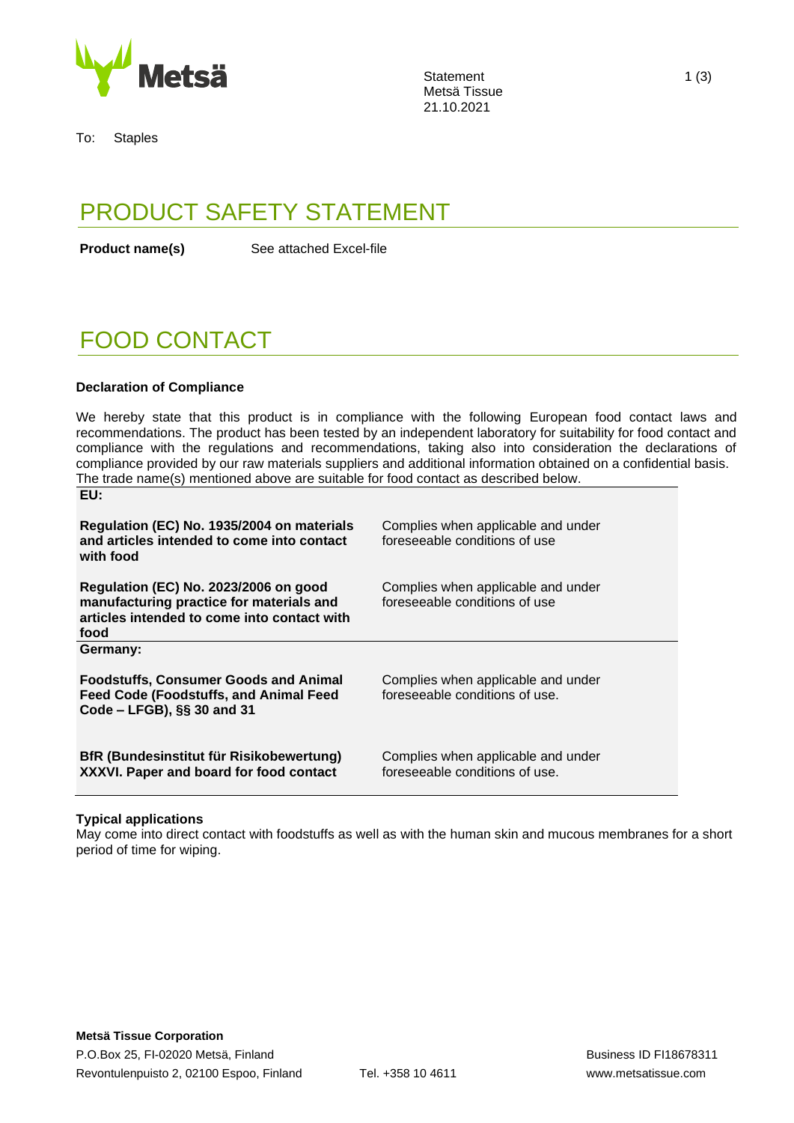

Statement 1 (3) Metsä Tissue 21.10.2021

To: Staples

## PRODUCT SAFETY STATEMENT

**Product name(s)** See attached Excel-file

# FOOD CONTACT

### **Declaration of Compliance**

We hereby state that this product is in compliance with the following European food contact laws and recommendations. The product has been tested by an independent laboratory for suitability for food contact and compliance with the regulations and recommendations, taking also into consideration the declarations of compliance provided by our raw materials suppliers and additional information obtained on a confidential basis. The trade name(s) mentioned above are suitable for food contact as described below. **EU:**

| Regulation (EC) No. 1935/2004 on materials<br>and articles intended to come into contact<br>with food                                    | Complies when applicable and under<br>foreseeable conditions of use  |
|------------------------------------------------------------------------------------------------------------------------------------------|----------------------------------------------------------------------|
| Regulation (EC) No. 2023/2006 on good<br>manufacturing practice for materials and<br>articles intended to come into contact with<br>food | Complies when applicable and under<br>foreseeable conditions of use  |
| Germany:                                                                                                                                 |                                                                      |
| <b>Foodstuffs, Consumer Goods and Animal</b><br><b>Feed Code (Foodstuffs, and Animal Feed</b><br>Code - LFGB), §§ 30 and 31              | Complies when applicable and under<br>foreseeable conditions of use. |
| BfR (Bundesinstitut für Risikobewertung)<br>XXXVI. Paper and board for food contact                                                      | Complies when applicable and under<br>foreseeable conditions of use. |

#### **Typical applications**

May come into direct contact with foodstuffs as well as with the human skin and mucous membranes for a short period of time for wiping.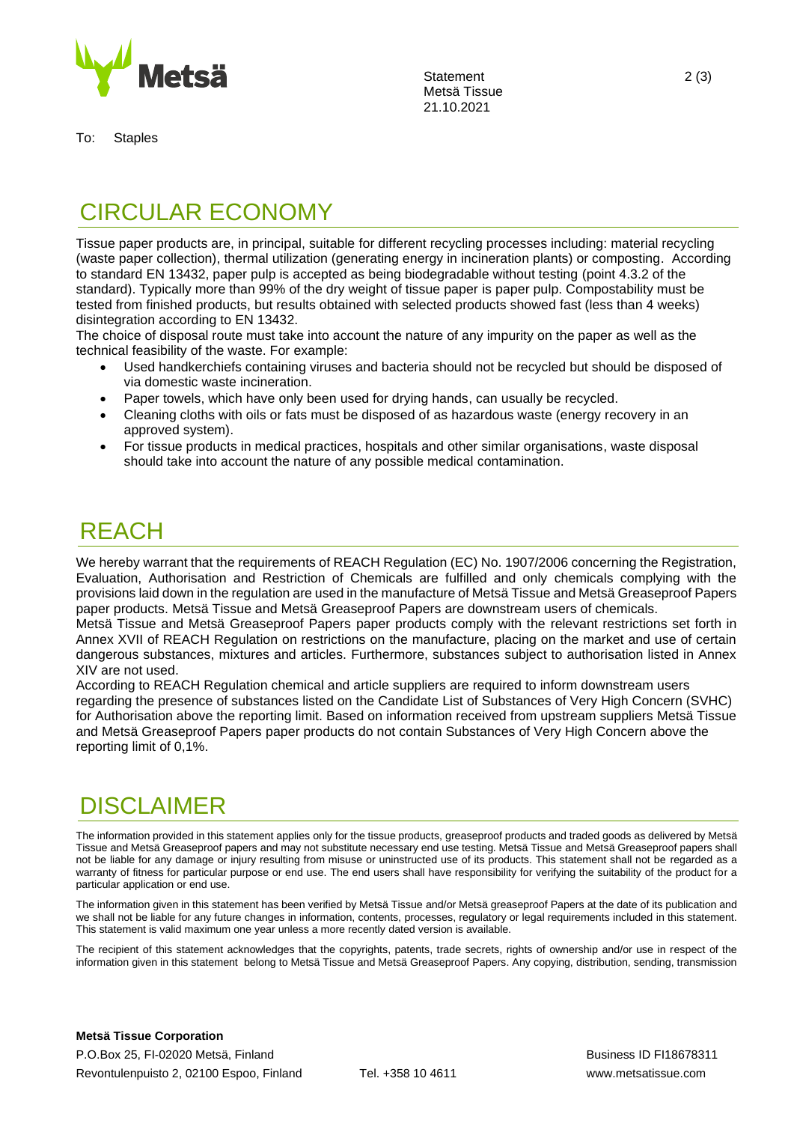

To: Staples

Statement 2 (3) Metsä Tissue 21.10.2021

## CIRCULAR ECONOMY

Tissue paper products are, in principal, suitable for different recycling processes including: material recycling (waste paper collection), thermal utilization (generating energy in incineration plants) or composting. According to standard EN 13432, paper pulp is accepted as being biodegradable without testing (point 4.3.2 of the standard). Typically more than 99% of the dry weight of tissue paper is paper pulp. Compostability must be tested from finished products, but results obtained with selected products showed fast (less than 4 weeks) disintegration according to EN 13432.

The choice of disposal route must take into account the nature of any impurity on the paper as well as the technical feasibility of the waste. For example:

- Used handkerchiefs containing viruses and bacteria should not be recycled but should be disposed of via domestic waste incineration.
- Paper towels, which have only been used for drying hands, can usually be recycled.
- Cleaning cloths with oils or fats must be disposed of as hazardous waste (energy recovery in an approved system).
- For tissue products in medical practices, hospitals and other similar organisations, waste disposal should take into account the nature of any possible medical contamination.

# REACH

We hereby warrant that the requirements of REACH Regulation (EC) No. 1907/2006 concerning the Registration, Evaluation, Authorisation and Restriction of Chemicals are fulfilled and only chemicals complying with the provisions laid down in the regulation are used in the manufacture of Metsä Tissue and Metsä Greaseproof Papers paper products. Metsä Tissue and Metsä Greaseproof Papers are downstream users of chemicals.

Metsä Tissue and Metsä Greaseproof Papers paper products comply with the relevant restrictions set forth in Annex XVII of REACH Regulation on restrictions on the manufacture, placing on the market and use of certain dangerous substances, mixtures and articles. Furthermore, substances subject to authorisation listed in Annex XIV are not used.

According to REACH Regulation chemical and article suppliers are required to inform downstream users regarding the presence of substances listed on the Candidate List of Substances of Very High Concern (SVHC) for Authorisation above the reporting limit. Based on information received from upstream suppliers Metsä Tissue and Metsä Greaseproof Papers paper products do not contain Substances of Very High Concern above the reporting limit of 0,1%.

# **DISCLAIMER**

The information provided in this statement applies only for the tissue products, greaseproof products and traded goods as delivered by Metsä Tissue and Metsä Greaseproof papers and may not substitute necessary end use testing. Metsä Tissue and Metsä Greaseproof papers shall not be liable for any damage or injury resulting from misuse or uninstructed use of its products. This statement shall not be regarded as a warranty of fitness for particular purpose or end use. The end users shall have responsibility for verifying the suitability of the product for a particular application or end use.

The information given in this statement has been verified by Metsä Tissue and/or Metsä greaseproof Papers at the date of its publication and we shall not be liable for any future changes in information, contents, processes, regulatory or legal requirements included in this statement. This statement is valid maximum one year unless a more recently dated version is available.

The recipient of this statement acknowledges that the copyrights, patents, trade secrets, rights of ownership and/or use in respect of the information given in this statement belong to Metsä Tissue and Metsä Greaseproof Papers. Any copying, distribution, sending, transmission